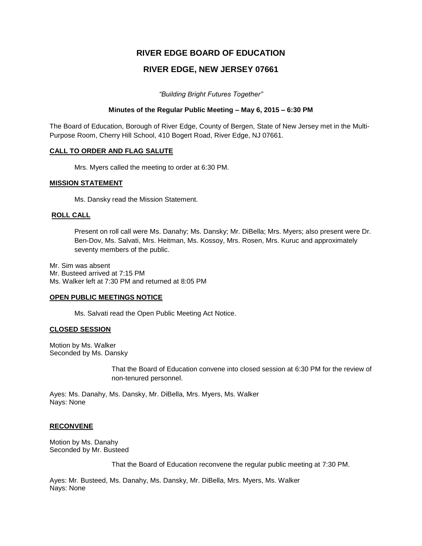# **RIVER EDGE BOARD OF EDUCATION**

## **RIVER EDGE, NEW JERSEY 07661**

*"Building Bright Futures Together"*

### **Minutes of the Regular Public Meeting – May 6, 2015 – 6:30 PM**

The Board of Education, Borough of River Edge, County of Bergen, State of New Jersey met in the Multi-Purpose Room, Cherry Hill School, 410 Bogert Road, River Edge, NJ 07661.

### **CALL TO ORDER AND FLAG SALUTE**

Mrs. Myers called the meeting to order at 6:30 PM.

### **MISSION STATEMENT**

Ms. Dansky read the Mission Statement.

### **ROLL CALL**

Present on roll call were Ms. Danahy; Ms. Dansky; Mr. DiBella; Mrs. Myers; also present were Dr. Ben-Dov, Ms. Salvati, Mrs. Heitman, Ms. Kossoy, Mrs. Rosen, Mrs. Kuruc and approximately seventy members of the public.

Mr. Sim was absent Mr. Busteed arrived at 7:15 PM Ms. Walker left at 7:30 PM and returned at 8:05 PM

### **OPEN PUBLIC MEETINGS NOTICE**

Ms. Salvati read the Open Public Meeting Act Notice.

### **CLOSED SESSION**

Motion by Ms. Walker Seconded by Ms. Dansky

> That the Board of Education convene into closed session at 6:30 PM for the review of non-tenured personnel.

Ayes: Ms. Danahy, Ms. Dansky, Mr. DiBella, Mrs. Myers, Ms. Walker Nays: None

## **RECONVENE**

Motion by Ms. Danahy Seconded by Mr. Busteed

That the Board of Education reconvene the regular public meeting at 7:30 PM.

Ayes: Mr. Busteed, Ms. Danahy, Ms. Dansky, Mr. DiBella, Mrs. Myers, Ms. Walker Nays: None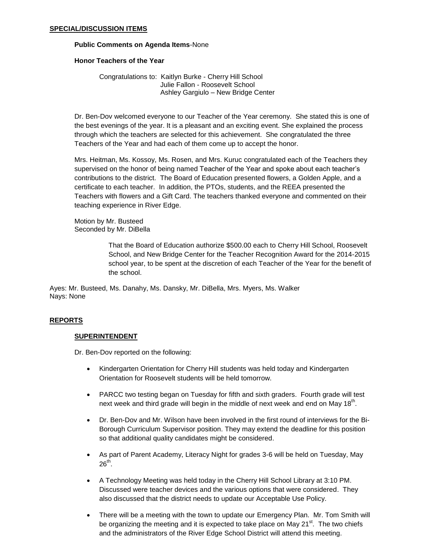### **SPECIAL/DISCUSSION ITEMS**

#### **Public Comments on Agenda Items**-None

### **Honor Teachers of the Year**

Congratulations to: Kaitlyn Burke - Cherry Hill School Julie Fallon - Roosevelt School Ashley Gargiulo – New Bridge Center

Dr. Ben-Dov welcomed everyone to our Teacher of the Year ceremony. She stated this is one of the best evenings of the year. It is a pleasant and an exciting event. She explained the process through which the teachers are selected for this achievement. She congratulated the three Teachers of the Year and had each of them come up to accept the honor.

Mrs. Heitman, Ms. Kossoy, Ms. Rosen, and Mrs. Kuruc congratulated each of the Teachers they supervised on the honor of being named Teacher of the Year and spoke about each teacher's contributions to the district. The Board of Education presented flowers, a Golden Apple, and a certificate to each teacher. In addition, the PTOs, students, and the REEA presented the Teachers with flowers and a Gift Card. The teachers thanked everyone and commented on their teaching experience in River Edge.

Motion by Mr. Busteed Seconded by Mr. DiBella

> That the Board of Education authorize \$500.00 each to Cherry Hill School, Roosevelt School, and New Bridge Center for the Teacher Recognition Award for the 2014-2015 school year, to be spent at the discretion of each Teacher of the Year for the benefit of the school.

Ayes: Mr. Busteed, Ms. Danahy, Ms. Dansky, Mr. DiBella, Mrs. Myers, Ms. Walker Nays: None

### **REPORTS**

### **SUPERINTENDENT**

Dr. Ben-Dov reported on the following:

- Kindergarten Orientation for Cherry Hill students was held today and Kindergarten Orientation for Roosevelt students will be held tomorrow.
- PARCC two testing began on Tuesday for fifth and sixth graders. Fourth grade will test next week and third grade will begin in the middle of next week and end on May 18<sup>th</sup>.
- Dr. Ben-Dov and Mr. Wilson have been involved in the first round of interviews for the Bi-Borough Curriculum Supervisor position. They may extend the deadline for this position so that additional quality candidates might be considered.
- As part of Parent Academy, Literacy Night for grades 3-6 will be held on Tuesday, May  $26^{\sf th}$ .
- A Technology Meeting was held today in the Cherry Hill School Library at 3:10 PM. Discussed were teacher devices and the various options that were considered. They also discussed that the district needs to update our Acceptable Use Policy.
- There will be a meeting with the town to update our Emergency Plan. Mr. Tom Smith will be organizing the meeting and it is expected to take place on May  $21<sup>st</sup>$ . The two chiefs and the administrators of the River Edge School District will attend this meeting.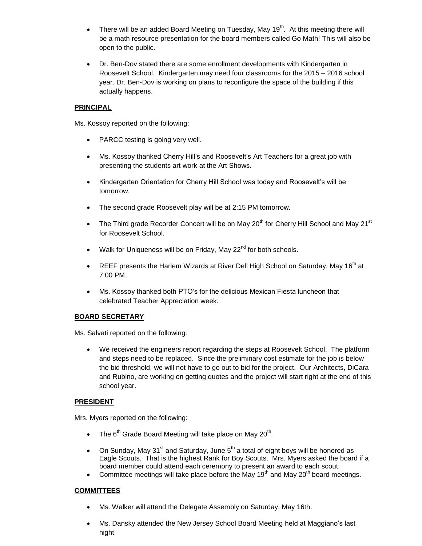- There will be an added Board Meeting on Tuesday, May  $19<sup>th</sup>$ . At this meeting there will be a math resource presentation for the board members called Go Math! This will also be open to the public.
- Dr. Ben-Dov stated there are some enrollment developments with Kindergarten in Roosevelt School. Kindergarten may need four classrooms for the 2015 – 2016 school year. Dr. Ben-Dov is working on plans to reconfigure the space of the building if this actually happens.

## **PRINCIPAL**

Ms. Kossoy reported on the following:

- PARCC testing is going very well.
- Ms. Kossoy thanked Cherry Hill's and Roosevelt's Art Teachers for a great job with presenting the students art work at the Art Shows.
- Kindergarten Orientation for Cherry Hill School was today and Roosevelt's will be tomorrow.
- The second grade Roosevelt play will be at 2:15 PM tomorrow.
- The Third grade Recorder Concert will be on May 20<sup>th</sup> for Cherry Hill School and May 21<sup>st</sup> for Roosevelt School.
- $\bullet$  Walk for Uniqueness will be on Friday, May 22<sup>nd</sup> for both schools.
- **•** REEF presents the Harlem Wizards at River Dell High School on Saturday, May 16<sup>th</sup> at 7:00 PM.
- Ms. Kossoy thanked both PTO's for the delicious Mexican Fiesta luncheon that celebrated Teacher Appreciation week.

## **BOARD SECRETARY**

Ms. Salvati reported on the following:

 We received the engineers report regarding the steps at Roosevelt School. The platform and steps need to be replaced. Since the preliminary cost estimate for the job is below the bid threshold, we will not have to go out to bid for the project. Our Architects, DiCara and Rubino, are working on getting quotes and the project will start right at the end of this school year.

## **PRESIDENT**

Mrs. Myers reported on the following:

- The 6<sup>th</sup> Grade Board Meeting will take place on May 20<sup>th</sup>.
- On Sunday, May 31<sup>st</sup> and Saturday, June  $5<sup>th</sup>$  a total of eight boys will be honored as Eagle Scouts. That is the highest Rank for Boy Scouts. Mrs. Myers asked the board if a board member could attend each ceremony to present an award to each scout.
- Committee meetings will take place before the May 19<sup>th</sup> and May 20<sup>th</sup> board meetings.

## **COMMITTEES**

- Ms. Walker will attend the Delegate Assembly on Saturday, May 16th.
- Ms. Dansky attended the New Jersey School Board Meeting held at Maggiano's last night.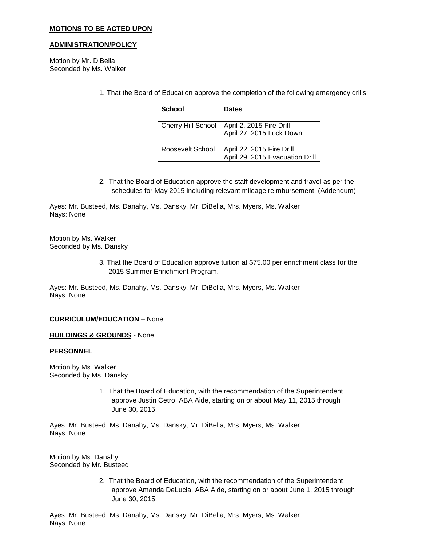### **MOTIONS TO BE ACTED UPON**

### **ADMINISTRATION/POLICY**

Motion by Mr. DiBella Seconded by Ms. Walker

1. That the Board of Education approve the completion of the following emergency drills:

| School                    | <b>Dates</b>                                                 |
|---------------------------|--------------------------------------------------------------|
| <b>Cherry Hill School</b> | April 2, 2015 Fire Drill<br>April 27, 2015 Lock Down         |
| Roosevelt School          | April 22, 2015 Fire Drill<br>April 29, 2015 Evacuation Drill |

2. That the Board of Education approve the staff development and travel as per the schedules for May 2015 including relevant mileage reimbursement. (Addendum)

Ayes: Mr. Busteed, Ms. Danahy, Ms. Dansky, Mr. DiBella, Mrs. Myers, Ms. Walker Nays: None

Motion by Ms. Walker Seconded by Ms. Dansky

> 3. That the Board of Education approve tuition at \$75.00 per enrichment class for the 2015 Summer Enrichment Program.

Ayes: Mr. Busteed, Ms. Danahy, Ms. Dansky, Mr. DiBella, Mrs. Myers, Ms. Walker Nays: None

### **CURRICULUM/EDUCATION** – None

**BUILDINGS & GROUNDS** - None

### **PERSONNEL**

Motion by Ms. Walker Seconded by Ms. Dansky

> 1. That the Board of Education, with the recommendation of the Superintendent approve Justin Cetro, ABA Aide, starting on or about May 11, 2015 through June 30, 2015.

Ayes: Mr. Busteed, Ms. Danahy, Ms. Dansky, Mr. DiBella, Mrs. Myers, Ms. Walker Nays: None

Motion by Ms. Danahy Seconded by Mr. Busteed

> 2. That the Board of Education, with the recommendation of the Superintendent approve Amanda DeLucia, ABA Aide, starting on or about June 1, 2015 through June 30, 2015.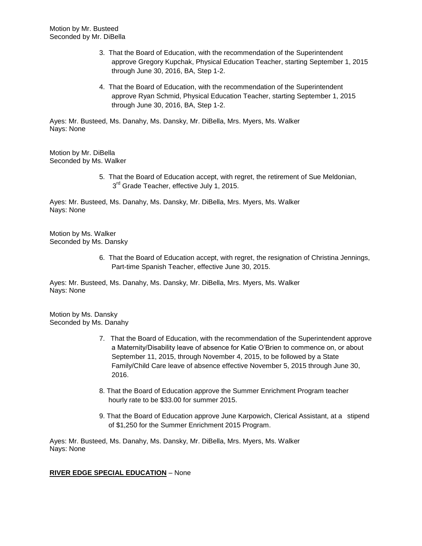- 3. That the Board of Education, with the recommendation of the Superintendent approve Gregory Kupchak, Physical Education Teacher, starting September 1, 2015 through June 30, 2016, BA, Step 1-2.
- 4. That the Board of Education, with the recommendation of the Superintendent approve Ryan Schmid, Physical Education Teacher, starting September 1, 2015 through June 30, 2016, BA, Step 1-2.

Ayes: Mr. Busteed, Ms. Danahy, Ms. Dansky, Mr. DiBella, Mrs. Myers, Ms. Walker Nays: None

Motion by Mr. DiBella Seconded by Ms. Walker

> 5. That the Board of Education accept, with regret, the retirement of Sue Meldonian, 3<sup>rd</sup> Grade Teacher, effective July 1, 2015.

Ayes: Mr. Busteed, Ms. Danahy, Ms. Dansky, Mr. DiBella, Mrs. Myers, Ms. Walker Nays: None

Motion by Ms. Walker Seconded by Ms. Dansky

> 6. That the Board of Education accept, with regret, the resignation of Christina Jennings, Part-time Spanish Teacher, effective June 30, 2015.

Ayes: Mr. Busteed, Ms. Danahy, Ms. Dansky, Mr. DiBella, Mrs. Myers, Ms. Walker Nays: None

Motion by Ms. Dansky Seconded by Ms. Danahy

- 7. That the Board of Education, with the recommendation of the Superintendent approve a Maternity/Disability leave of absence for Katie O'Brien to commence on, or about September 11, 2015, through November 4, 2015, to be followed by a State Family/Child Care leave of absence effective November 5, 2015 through June 30, 2016.
- 8. That the Board of Education approve the Summer Enrichment Program teacher hourly rate to be \$33.00 for summer 2015.
- 9. That the Board of Education approve June Karpowich, Clerical Assistant, at a stipend of \$1,250 for the Summer Enrichment 2015 Program.

Ayes: Mr. Busteed, Ms. Danahy, Ms. Dansky, Mr. DiBella, Mrs. Myers, Ms. Walker Nays: None

## **RIVER EDGE SPECIAL EDUCATION** – None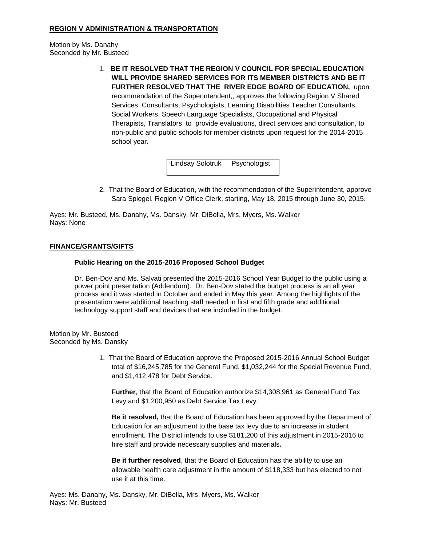## **REGION V ADMINISTRATION & TRANSPORTATION**

Motion by Ms. Danahy Seconded by Mr. Busteed

> 1. **BE IT RESOLVED THAT THE REGION V COUNCIL FOR SPECIAL EDUCATION WILL PROVIDE SHARED SERVICES FOR ITS MEMBER DISTRICTS AND BE IT FURTHER RESOLVED THAT THE RIVER EDGE BOARD OF EDUCATION,** upon recommendation of the Superintendent,, approves the following Region V Shared Services Consultants, Psychologists, Learning Disabilities Teacher Consultants, Social Workers, Speech Language Specialists, Occupational and Physical Therapists, Translators to provide evaluations, direct services and consultation, to non-public and public schools for member districts upon request for the 2014-2015 school year.

> > Lindsay Solotruk | Psychologist

2. That the Board of Education, with the recommendation of the Superintendent, approve Sara Spiegel, Region V Office Clerk, starting, May 18, 2015 through June 30, 2015.

Ayes: Mr. Busteed, Ms. Danahy, Ms. Dansky, Mr. DiBella, Mrs. Myers, Ms. Walker Nays: None

### **FINANCE/GRANTS/GIFTS**

### **Public Hearing on the 2015-2016 Proposed School Budget**

Dr. Ben-Dov and Ms. Salvati presented the 2015-2016 School Year Budget to the public using a power point presentation (Addendum). Dr. Ben-Dov stated the budget process is an all year process and it was started in October and ended in May this year. Among the highlights of the presentation were additional teaching staff needed in first and fifth grade and additional technology support staff and devices that are included in the budget.

Motion by Mr. Busteed Seconded by Ms. Dansky

> 1. That the Board of Education approve the Proposed 2015-2016 Annual School Budget total of \$16,245,785 for the General Fund, \$1,032,244 for the Special Revenue Fund, and \$1,412,478 for Debt Service.

**Further**, that the Board of Education authorize \$14,308,961 as General Fund Tax Levy and \$1,200,950 as Debt Service Tax Levy.

**Be it resolved,** that the Board of Education has been approved by the Department of Education for an adjustment to the base tax levy due to an increase in student enrollment. The District intends to use \$181,200 of this adjustment in 2015-2016 to hire staff and provide necessary supplies and materials**.**

**Be it further resolved**, that the Board of Education has the ability to use an allowable health care adjustment in the amount of \$118,333 but has elected to not use it at this time.

Ayes: Ms. Danahy, Ms. Dansky, Mr. DiBella, Mrs. Myers, Ms. Walker Nays: Mr. Busteed